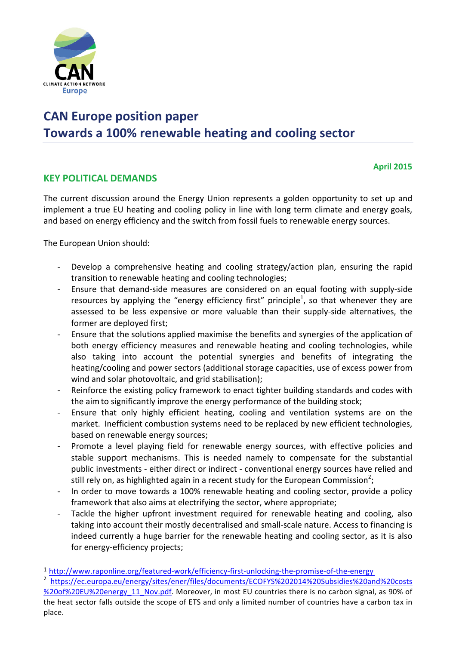

# **CAN Europe position paper** Towards a 100% renewable heating and cooling sector

#### **April 2015**

## **KEY POLITICAL DEMANDS**

The current discussion around the Energy Union represents a golden opportunity to set up and implement a true EU heating and cooling policy in line with long term climate and energy goals, and based on energy efficiency and the switch from fossil fuels to renewable energy sources.

The European Union should:

- Develop a comprehensive heating and cooling strategy/action plan, ensuring the rapid transition to renewable heating and cooling technologies;
- Ensure that demand-side measures are considered on an equal footing with supply-side resources by applying the "energy efficiency first" principle<sup>1</sup>, so that whenever they are assessed to be less expensive or more valuable than their supply-side alternatives, the former are deployed first;
- Ensure that the solutions applied maximise the benefits and synergies of the application of both energy efficiency measures and renewable heating and cooling technologies, while also taking into account the potential synergies and benefits of integrating the heating/cooling and power sectors (additional storage capacities, use of excess power from wind and solar photovoltaic, and grid stabilisation);
- Reinforce the existing policy framework to enact tighter building standards and codes with the aim to significantly improve the energy performance of the building stock;
- Ensure that only highly efficient heating, cooling and ventilation systems are on the market. Inefficient combustion systems need to be replaced by new efficient technologies, based on renewable energy sources;
- Promote a level playing field for renewable energy sources, with effective policies and stable support mechanisms. This is needed namely to compensate for the substantial public investments - either direct or indirect - conventional energy sources have relied and still rely on, as highlighted again in a recent study for the European Commission<sup>2</sup>;
- In order to move towards a 100% renewable heating and cooling sector, provide a policy framework that also aims at electrifying the sector, where appropriate;
- Tackle the higher upfront investment required for renewable heating and cooling, also taking into account their mostly decentralised and small-scale nature. Access to financing is indeed currently a huge barrier for the renewable heating and cooling sector, as it is also for energy-efficiency projects;

<sup>1</sup> http://www.raponline.org/featured-work/efficiency-first-unlocking-the-promise-of-the-energy

<sup>&</sup>lt;sup>2</sup> https://ec.europa.eu/energy/sites/ener/files/documents/ECOFYS%202014%20Subsidies%20and%20costs

<sup>%20</sup>of%20EU%20energy\_11\_Nov.pdf. Moreover, in most EU countries there is no carbon signal, as 90% of the heat sector falls outside the scope of ETS and only a limited number of countries have a carbon tax in place.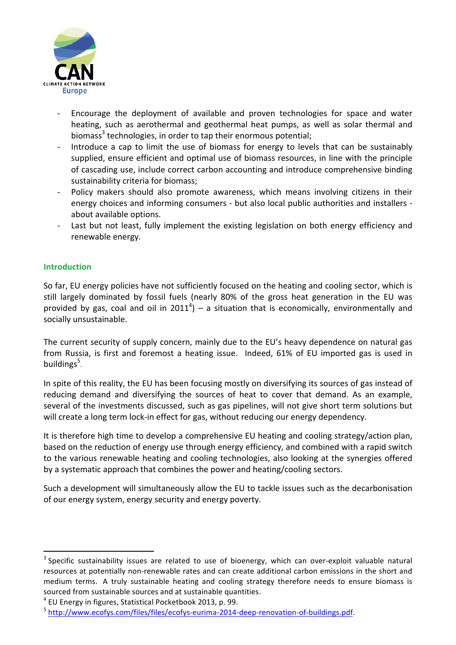

- Encourage the deployment of available and proven technologies for space and water heating, such as aerothermal and geothermal heat pumps, as well as solar thermal and biomass<sup>3</sup> technologies, in order to tap their enormous potential;
- Introduce a cap to limit the use of biomass for energy to levels that can be sustainably supplied, ensure efficient and optimal use of biomass resources, in line with the principle of cascading use, include correct carbon accounting and introduce comprehensive binding sustainability criteria for biomass:
- Policy makers should also promote awareness, which means involving citizens in their energy choices and informing consumers - but also local public authorities and installers about available options.
- Last but not least, fully implement the existing legislation on both energy efficiency and renewable energy.

## **Introduction**

So far, EU energy policies have not sufficiently focused on the heating and cooling sector, which is still largely dominated by fossil fuels (nearly 80% of the gross heat generation in the EU was provided by gas, coal and oil in 2011<sup>4</sup>) – a situation that is economically, environmentally and socially unsustainable.

The current security of supply concern, mainly due to the EU's heavy dependence on natural gas from Russia, is first and foremost a heating issue. Indeed, 61% of EU imported gas is used in buildings<sup>5</sup>.

In spite of this reality, the EU has been focusing mostly on diversifying its sources of gas instead of reducing demand and diversifying the sources of heat to cover that demand. As an example, several of the investments discussed, such as gas pipelines, will not give short term solutions but will create a long term lock-in effect for gas, without reducing our energy dependency.

It is therefore high time to develop a comprehensive EU heating and cooling strategy/action plan, based on the reduction of energy use through energy efficiency, and combined with a rapid switch to the various renewable heating and cooling technologies, also looking at the synergies offered by a systematic approach that combines the power and heating/cooling sectors.

Such a development will simultaneously allow the EU to tackle issues such as the decarbonisation of our energy system, energy security and energy poverty.

 $4$  EU Energy in figures, Statistical Pocketbook 2013, p. 99.

 $3$  Specific sustainability issues are related to use of bioenergy, which can over-exploit valuable natural resources at potentially non-renewable rates and can create additional carbon emissions in the short and medium terms. A truly sustainable heating and cooling strategy therefore needs to ensure biomass is sourced from sustainable sources and at sustainable quantities.

<sup>5</sup> http://www.ecofys.com/files/files/ecofys-eurima-2014-deep-renovation-of-buildings.pdf.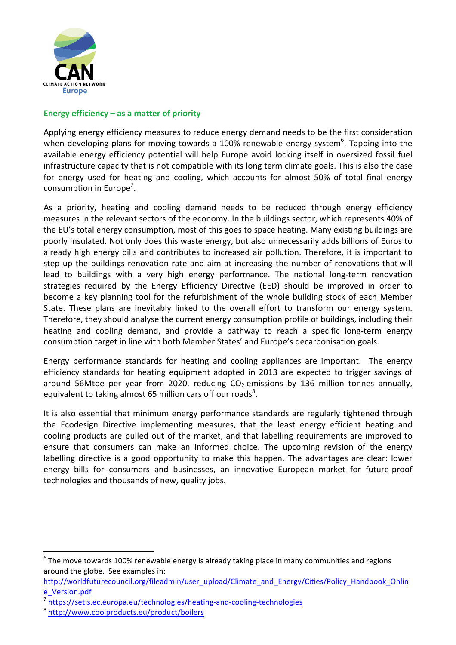

### **Energy efficiency – as a matter of priority**

Applying energy efficiency measures to reduce energy demand needs to be the first consideration when developing plans for moving towards a 100% renewable energy system<sup>6</sup>. Tapping into the available energy efficiency potential will help Europe avoid locking itself in oversized fossil fuel infrastructure capacity that is not compatible with its long term climate goals. This is also the case for energy used for heating and cooling, which accounts for almost 50% of total final energy consumption in Europe<sup>7</sup>.

As a priority, heating and cooling demand needs to be reduced through energy efficiency measures in the relevant sectors of the economy. In the buildings sector, which represents 40% of the EU's total energy consumption, most of this goes to space heating. Many existing buildings are poorly insulated. Not only does this waste energy, but also unnecessarily adds billions of Euros to already high energy bills and contributes to increased air pollution. Therefore, it is important to step up the buildings renovation rate and aim at increasing the number of renovations that will lead to buildings with a very high energy performance. The national long-term renovation strategies required by the Energy Efficiency Directive (EED) should be improved in order to become a key planning tool for the refurbishment of the whole building stock of each Member State. These plans are inevitably linked to the overall effort to transform our energy system. Therefore, they should analyse the current energy consumption profile of buildings, including their heating and cooling demand, and provide a pathway to reach a specific long-term energy consumption target in line with both Member States' and Europe's decarbonisation goals.

Energy performance standards for heating and cooling appliances are important. The energy efficiency standards for heating equipment adopted in 2013 are expected to trigger savings of around 56Mtoe per year from 2020, reducing  $CO<sub>2</sub>$  emissions by 136 million tonnes annually, equivalent to taking almost 65 million cars off our roads<sup>8</sup>.

It is also essential that minimum energy performance standards are regularly tightened through the Ecodesign Directive implementing measures, that the least energy efficient heating and cooling products are pulled out of the market, and that labelling requirements are improved to ensure that consumers can make an informed choice. The upcoming revision of the energy labelling directive is a good opportunity to make this happen. The advantages are clear: lower energy bills for consumers and businesses, an innovative European market for future-proof technologies and thousands of new, quality jobs.

 $6$  The move towards 100% renewable energy is already taking place in many communities and regions around the globe. See examples in:

http://worldfuturecouncil.org/fileadmin/user\_upload/Climate\_and\_Energy/Cities/Policy\_Handbook\_Onlin e\_Version.pdf

<sup>7</sup> https://setis.ec.europa.eu/technologies/heating-and-cooling-technologies

<sup>8</sup> http://www.coolproducts.eu/product/boilers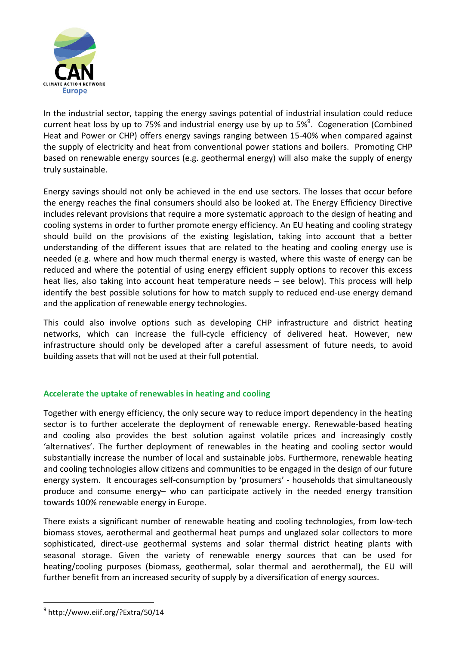

In the industrial sector, tapping the energy savings potential of industrial insulation could reduce current heat loss by up to 75% and industrial energy use by up to 5%<sup>9</sup>. Cogeneration (Combined Heat and Power or CHP) offers energy savings ranging between 15-40% when compared against the supply of electricity and heat from conventional power stations and boilers. Promoting CHP based on renewable energy sources (e.g. geothermal energy) will also make the supply of energy truly sustainable.

Energy savings should not only be achieved in the end use sectors. The losses that occur before the energy reaches the final consumers should also be looked at. The Energy Efficiency Directive includes relevant provisions that require a more systematic approach to the design of heating and cooling systems in order to further promote energy efficiency. An EU heating and cooling strategy should build on the provisions of the existing legislation, taking into account that a better understanding of the different issues that are related to the heating and cooling energy use is needed (e.g. where and how much thermal energy is wasted, where this waste of energy can be reduced and where the potential of using energy efficient supply options to recover this excess heat lies, also taking into account heat temperature needs – see below). This process will help identify the best possible solutions for how to match supply to reduced end-use energy demand and the application of renewable energy technologies.

This could also involve options such as developing CHP infrastructure and district heating networks, which can increase the full-cycle efficiency of delivered heat. However, new infrastructure should only be developed after a careful assessment of future needs, to avoid building assets that will not be used at their full potential.

#### **Accelerate the uptake of renewables in heating and cooling**

Together with energy efficiency, the only secure way to reduce import dependency in the heating sector is to further accelerate the deployment of renewable energy. Renewable-based heating and cooling also provides the best solution against volatile prices and increasingly costly 'alternatives'. The further deployment of renewables in the heating and cooling sector would substantially increase the number of local and sustainable jobs. Furthermore, renewable heating and cooling technologies allow citizens and communities to be engaged in the design of our future energy system. It encourages self-consumption by 'prosumers' - households that simultaneously produce and consume energy– who can participate actively in the needed energy transition towards 100% renewable energy in Europe.

There exists a significant number of renewable heating and cooling technologies, from low-tech biomass stoves, aerothermal and geothermal heat pumps and unglazed solar collectors to more sophisticated, direct-use geothermal systems and solar thermal district heating plants with seasonal storage. Given the variety of renewable energy sources that can be used for heating/cooling purposes (biomass, geothermal, solar thermal and aerothermal), the EU will further benefit from an increased security of supply by a diversification of energy sources.

 <sup>9</sup> http://www.eiif.org/?Extra/50/14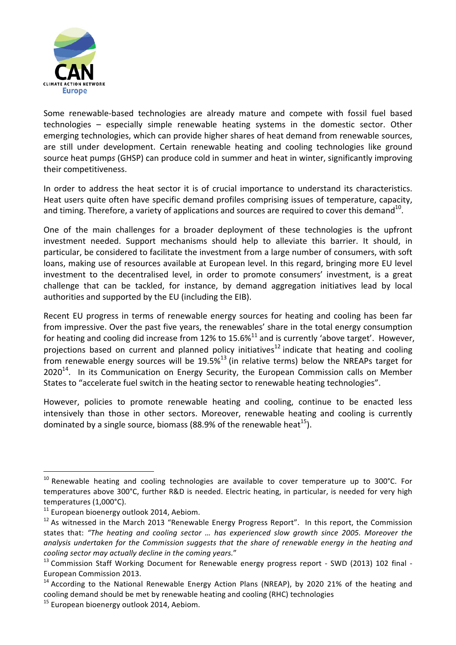

Some renewable-based technologies are already mature and compete with fossil fuel based technologies – especially simple renewable heating systems in the domestic sector. Other emerging technologies, which can provide higher shares of heat demand from renewable sources, are still under development. Certain renewable heating and cooling technologies like ground source heat pumps (GHSP) can produce cold in summer and heat in winter, significantly improving their competitiveness.

In order to address the heat sector it is of crucial importance to understand its characteristics. Heat users quite often have specific demand profiles comprising issues of temperature, capacity, and timing. Therefore, a variety of applications and sources are required to cover this demand<sup>10</sup>.

One of the main challenges for a broader deployment of these technologies is the upfront investment needed. Support mechanisms should help to alleviate this barrier. It should, in particular, be considered to facilitate the investment from a large number of consumers, with soft loans, making use of resources available at European level. In this regard, bringing more EU level investment to the decentralised level, in order to promote consumers' investment, is a great challenge that can be tackled, for instance, by demand aggregation initiatives lead by local authorities and supported by the EU (including the EIB).

Recent EU progress in terms of renewable energy sources for heating and cooling has been far from impressive. Over the past five years, the renewables' share in the total energy consumption for heating and cooling did increase from 12% to 15.6%<sup>11</sup> and is currently 'above target'. However, projections based on current and planned policy initiatives<sup>12</sup> indicate that heating and cooling from renewable energy sources will be  $19.5\%$ <sup>13</sup> (in relative terms) below the NREAPs target for  $2020^{14}$ . In its Communication on Energy Security, the European Commission calls on Member States to "accelerate fuel switch in the heating sector to renewable heating technologies".

However, policies to promote renewable heating and cooling, continue to be enacted less intensively than those in other sectors. Moreover, renewable heating and cooling is currently dominated by a single source, biomass (88.9% of the renewable heat<sup>15</sup>).

 $10$  Renewable heating and cooling technologies are available to cover temperature up to 300°C. For temperatures above 300°C, further R&D is needed. Electric heating, in particular, is needed for very high temperatures (1,000°C).

 $11$  European bioenergy outlook 2014, Aebiom.

 $12$  As witnessed in the March 2013 "Renewable Energy Progress Report". In this report, the Commission states that: "The heating and cooling sector ... has experienced slow growth since 2005. Moreover the analysis undertaken for the Commission suggests that the share of renewable energy in the heating and cooling sector may actually decline in the coming years."

 $13$  Commission Staff Working Document for Renewable energy progress report - SWD (2013) 102 final -European Commission 2013.

 $14$  According to the National Renewable Energy Action Plans (NREAP), by 2020 21% of the heating and cooling demand should be met by renewable heating and cooling (RHC) technologies

<sup>&</sup>lt;sup>15</sup> European bioenergy outlook 2014, Aebiom.